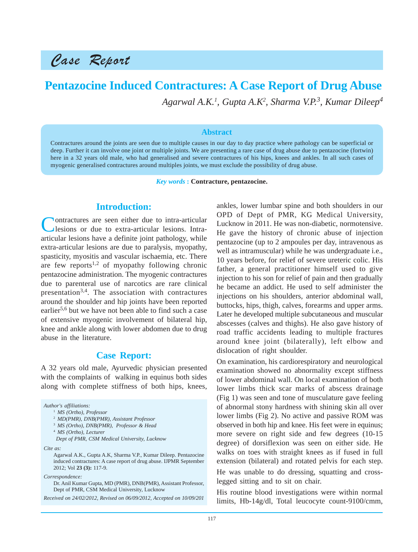# Case Report

## **Pentazocine Induced Contractures: A Case Report of Drug Abuse**

*Agarwal A.K.1 , Gupta A.K2 , Sharma V.P.3 , Kumar Dileep4*

#### **Abstract**

Contractures around the joints are seen due to multiple causes in our day to day practice where pathology can be superficial or deep. Further it can involve one joint or multiple joints. We are presenting a rare case of drug abuse due to pentazocine (fortwin) here in a 32 years old male, who had generalised and severe contractures of his hips, knees and ankles. In all such cases of myogenic generalised contractures around multiples joints, we must exclude the possibility of drug abuse.

*Key words* **: Contracture, pentazocine.**

#### **Introduction:**

Contractures are seen either due to intra-articular lesions or due to extra-articular lesions. Intraarticular lesions have a definite joint pathology, while extra-articular lesions are due to paralysis, myopathy, spasticity, myositis and vascular ischaemia, etc. There are few reports<sup>1,2</sup> of myopathy following chronic pentazocine administration. The myogenic contractures due to parenteral use of narcotics are rare clinical presentation<sup>3,4</sup>. The association with contractures around the shoulder and hip joints have been reported earlier<sup>5,6</sup> but we have not been able to find such a case of extensive myogenic involvement of bilateral hip, knee and ankle along with lower abdomen due to drug abuse in the literature.

#### **Case Report:**

A 32 years old male, Ayurvedic physician presented with the complaints of walking in equinus both sides along with complete stiffness of both hips, knees,

*Author's affiliations:* <sup>1</sup> *MS (Ortho), Professor* <sup>2</sup> *MD(PMR), DNB(PMR), Assistant Professor* <sup>3</sup> *MS (Ortho), DNB(PMR), Professor & Head* <sup>4</sup> *MS (Ortho), Lecturer Dept of PMR, CSM Medical University, Lucknow Cite as:* Agarwal A.K., Gupta A.K, Sharma V.P., Kumar Dileep. Pentazocine induced contractures: A case report of drug abuse. IJPMR September 2012; Vol **23 (3):** 117-9. *Correspondence:* Dr. Anil Kumar Gupta, MD (PMR), DNB(PMR), Assistant Professor, Dept of PMR, CSM Medical University, Lucknow

*Received on 24/02/2012, Revised on 06/09/2012, Accepted on 10/09/201*

ankles, lower lumbar spine and both shoulders in our OPD of Dept of PMR, KG Medical University, Lucknow in 2011. He was non-diabetic, normotensive. He gave the history of chronic abuse of injection pentazocine (up to 2 ampoules per day, intravenous as well as intramuscular) while he was undergraduate i.e., 10 years before, for relief of severe ureteric colic. His father, a general practitioner himself used to give injection to his son for relief of pain and then gradually he became an addict. He used to self administer the injections on his shoulders, anterior abdominal wall, buttocks, hips, thigh, calves, forearms and upper arms. Later he developed multiple subcutaneous and muscular abscesses (calves and thighs). He also gave history of road traffic accidents leading to multiple fractures around knee joint (bilaterally), left elbow and dislocation of right shoulder.

On examination, his cardiorespiratory and neurological examination showed no abnormality except stiffness of lower abdominal wall. On local examination of both lower limbs thick scar marks of abscess drainage (Fig 1) was seen and tone of musculature gave feeling of abnormal stony hardness with shining skin all over lower limbs (Fig 2). No active and passive ROM was observed in both hip and knee. His feet were in equinus; more severe on right side and few degrees (10-15 degree) of dorsiflexion was seen on either side. He walks on toes with straight knees as if fused in full extension (bilateral) and rotated pelvis for each step. He was unable to do dressing, squatting and crosslegged sitting and to sit on chair.

His routine blood investigations were within normal limits, Hb-14g/dl, Total leucocyte count-9100/cmm,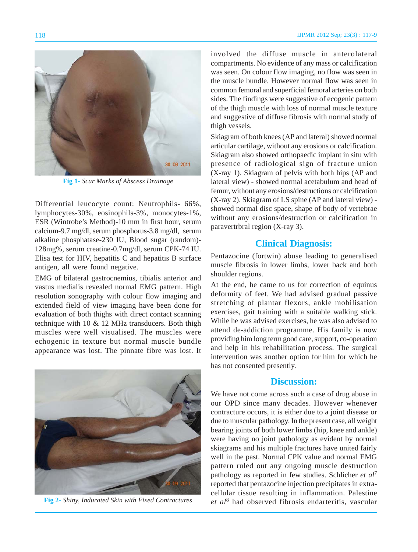

**Fig 1-** *Scar Marks of Abscess Drainage*

Differential leucocyte count: Neutrophils- 66%, lymphocytes-30%, eosinophils-3%, monocytes-1%, ESR (Wintrobe's Method)-10 mm in first hour, serum calcium-9.7 mg/dl, serum phosphorus-3.8 mg/dl, serum alkaline phosphatase-230 IU, Blood sugar (random)- 128mg%, serum creatine-0.7mg/dl, serum CPK-74 IU. Elisa test for HIV, hepatitis C and hepatitis B surface antigen, all were found negative.

EMG of bilateral gastrocnemius, tibialis anterior and vastus medialis revealed normal EMG pattern. High resolution sonography with colour flow imaging and extended field of view imaging have been done for evaluation of both thighs with direct contact scanning technique with 10 & 12 MHz transducers. Both thigh muscles were well visualised. The muscles were echogenic in texture but normal muscle bundle appearance was lost. The pinnate fibre was lost. It



**Fig 2-** *Shiny, Indurated Skin with Fixed Contractures*

involved the diffuse muscle in anterolateral compartments. No evidence of any mass or calcification was seen. On colour flow imaging, no flow was seen in the muscle bundle. However normal flow was seen in common femoral and superficial femoral arteries on both sides. The findings were suggestive of ecogenic pattern of the thigh muscle with loss of normal muscle texture and suggestive of diffuse fibrosis with normal study of thigh vessels.

Skiagram of both knees (AP and lateral) showed normal articular cartilage, without any erosions or calcification. Skiagram also showed orthopaedic implant in situ with presence of radiological sign of fracture union (X-ray 1). Skiagram of pelvis with both hips (AP and lateral view) - showed normal acetabulum and head of femur, without any erosions/destructions or calcification (X-ray 2). Skiagram of LS spine (AP and lateral view) showed normal disc space, shape of body of vertebrae without any erosions/destruction or calcification in paravertrbral region (X-ray 3).

#### **Clinical Diagnosis:**

Pentazocine (fortwin) abuse leading to generalised muscle fibrosis in lower limbs, lower back and both shoulder regions.

At the end, he came to us for correction of equinus deformity of feet. We had advised gradual passive stretching of plantar flexors, ankle mobilisation exercises, gait training with a suitable walking stick. While he was advised exercises, he was also advised to attend de-addiction programme. His family is now providing him long term good care, support, co-operation and help in his rehabilitation process. The surgical intervention was another option for him for which he has not consented presently.

### **Discussion:**

We have not come across such a case of drug abuse in our OPD since many decades. However whenever contracture occurs, it is either due to a joint disease or due to muscular pathology. In the present case, all weight bearing joints of both lower limbs (hip, knee and ankle) were having no joint pathology as evident by normal skiagrams and his multiple fractures have united fairly well in the past. Normal CPK value and normal EMG pattern ruled out any ongoing muscle destruction pathology as reported in few studies. Schlicher *et al*<sup>7</sup> reported that pentazocine injection precipitates in extracellular tissue resulting in inflammation. Palestine *et al*8 had observed fibrosis endarteritis, vascular